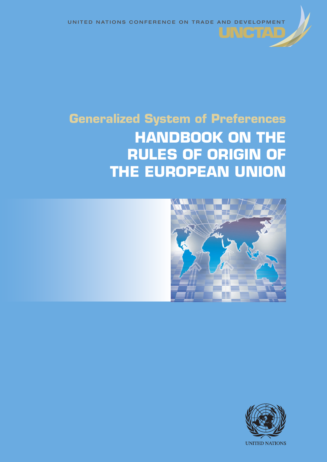UNITED NATIONS CONFERENCE ON TRADE AND DEVELOPMENT

UNGTA

# **Generalized System of Preferences HANDBOOK ON THE RULES OF ORIGIN OF THE EUROPEAN UNION**



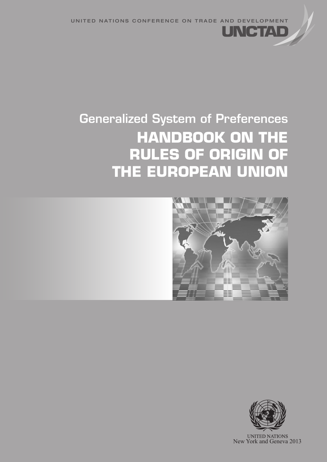UNITED NATIONS CONFERENCE ON TRADE AND DEVELOPMENT

# Generalized System of Preferences **HANDBOOK ON THE RULES OF ORIGIN OF THE EUROPEAN UNION**



INGTZ



**UNITED NATIONS** New York and Geneva 2013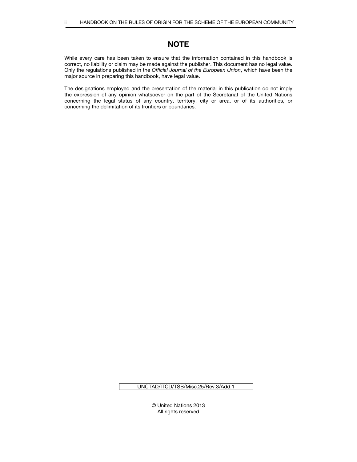# **NOTE**

While every care has been taken to ensure that the information contained in this handbook is correct, no liability or claim may be made against the publisher. This document has no legal value. Only the regulations published in the Official Journal of the European Union, which have been the major source in preparing this handbook, have legal value.

The designations employed and the presentation of the material in this publication do not imply the expression of any opinion whatsoever on the part of the Secretariat of the United Nations concerning the legal status of any country, territory, city or area, or of its authorities, or concerning the delimitation of its frontiers or boundaries.

UNCTAD/ITCD/TSB/Misc.25/Rev.3/Add.1

© United Nations 2013 All rights reserved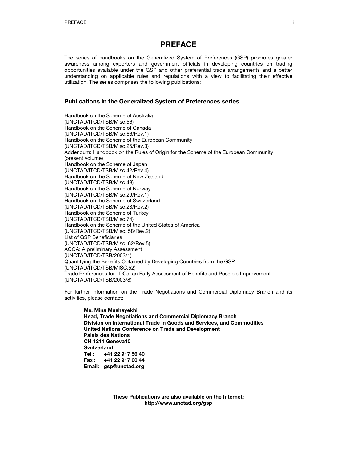# PREFACE

The series of handbooks on the Generalized System of Preferences (GSP) promotes greater awareness among exporters and government officials in developing countries on trading opportunities available under the GSP and other preferential trade arrangements and a better understanding on applicable rules and regulations with a view to facilitating their effective utilization. The series comprises the following publications:

# Publications in the Generalized System of Preferences series

Handbook on the Scheme of Australia (UNCTAD/ITCD/TSB/Misc.56) Handbook on the Scheme of Canada (UNCTAD/ITCD/TSB/Misc.66/Rev.1) Handbook on the Scheme of the European Community (UNCTAD/ITCD/TSB/Misc.25/Rev.3) Addendum: Handbook on the Rules of Origin for the Scheme of the European Community (present volume) Handbook on the Scheme of Japan (UNCTAD/ITCD/TSB/Misc.42/Rev.4) Handbook on the Scheme of New Zealand (UNCTAD/ITCD/TSB/Misc.48) Handbook on the Scheme of Norway (UNCTAD/ITCD/TSB/Misc.29/Rev.1) Handbook on the Scheme of Switzerland (UNCTAD/ITCD/TSB/Misc.28/Rev.2) Handbook on the Scheme of Turkey (UNCTAD/ITCD/TSB/Misc.74) Handbook on the Scheme of the United States of America (UNCTAD/ITCD/TSB/Misc. 58/Rev.2) List of GSP Beneficiaries (UNCTAD/ITCD/TSB/Misc. 62/Rev.5) AGOA: A preliminary Assessment (UNCTAD/ITCD/TSB/2003/1) Quantifying the Benefits Obtained by Developing Countries from the GSP (UNCTAD/ITCD/TSB/MISC.52) Trade Preferences for LDCs: an Early Assessment of Benefits and Possible Improvement (UNCTAD/ITCD/TSB/2003/8)

For further information on the Trade Negotiations and Commercial Diplomacy Branch and its activities, please contact:

# Ms. Mina Mashayekhi Head, Trade Negotiations and Commercial Diplomacy Branch Division on International Trade in Goods and Services, and Commodities United Nations Conference on Trade and Development Palais des Nations CH 1211 Geneva10 **Switzerland** Tel : +41 22 917 56 40 Fax : +41 22 917 00 44 Email: gsp@unctad.org

These Publications are also available on the Internet: http://www.unctad.org/gsp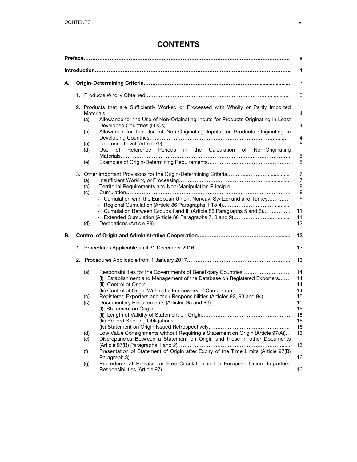# **CONTENTS**

|    | v |                   |                                                                                                                                                                           |                                                                  |
|----|---|-------------------|---------------------------------------------------------------------------------------------------------------------------------------------------------------------------|------------------------------------------------------------------|
|    |   |                   |                                                                                                                                                                           | 1                                                                |
| А. |   |                   |                                                                                                                                                                           | 3                                                                |
|    |   |                   |                                                                                                                                                                           | 3                                                                |
|    |   | (a)               | 2. Products that are Sufficiently Worked or Processed with Wholly or Partly Imported<br>Allowance for the Use of Non-Originating Inputs for Products Originating in Least | 4                                                                |
|    |   | (b)               | Allowance for the Use of Non-Originating Inputs for Products Originating in                                                                                               | $\overline{4}$<br>4                                              |
|    |   | (c)<br>(d)        | Reference Periods in the Calculation of Non-Originating<br>Use<br>of                                                                                                      | 5                                                                |
|    |   | (e)               |                                                                                                                                                                           | $\mathbf 5$<br>5                                                 |
|    |   | (a)<br>(b)<br>(c) | - Cumulation with the European Union, Norway, Switzerland and Turkey<br>- Cumulation Between Groups I and III (Article 86 Paragraphs 5 and 6)                             | $\overline{7}$<br>$\overline{7}$<br>8<br>8<br>8<br>9<br>11<br>11 |
| В. |   | (d)               |                                                                                                                                                                           | 12<br>13                                                         |
|    |   |                   |                                                                                                                                                                           | 13                                                               |
|    |   |                   |                                                                                                                                                                           | 13                                                               |
|    |   | (a)               | Responsibilities for the Governments of Beneficiary Countries<br>(I) Establishment and Management of the Database on Registered Exporters                                 | 14<br>14<br>14<br>14                                             |
|    |   | (b)<br>(c)        | Registered Exporters and their Responsibilities (Articles 92, 93 and 94)                                                                                                  | 15<br>15<br>15<br>16<br>16<br>16                                 |
|    |   | (d)<br>(e)        | Low Value Consignments without Requiring a Statement on Origin (Article 97(A))<br>Discrepancies Between a Statement on Origin and those in other Documents                | 16                                                               |
|    |   | (f)               | Presentation of Statement of Origin after Expiry of the Time Limits (Article 97(B)                                                                                        | 16                                                               |
|    |   | (g)               | Procedures at Release for Free Circulation in the European Union: Importers'                                                                                              | 16<br>16                                                         |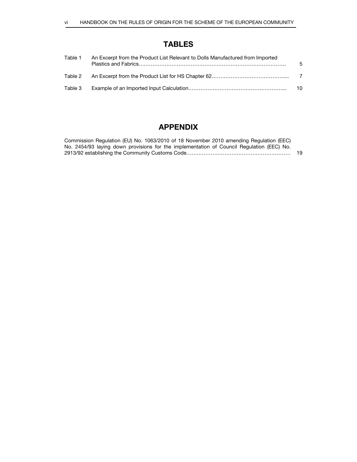# TABLES

| Table 1 | An Excerpt from the Product List Relevant to Dolls Manufactured from Imported | -5 |
|---------|-------------------------------------------------------------------------------|----|
|         |                                                                               |    |
| Table 3 |                                                                               | 10 |

# APPENDIX

| Commission Regulation (EU) No. 1063/2010 of 18 November 2010 amending Regulation (EEC)    |     |
|-------------------------------------------------------------------------------------------|-----|
| No. 2454/93 laying down provisions for the implementation of Council Regulation (EEC) No. |     |
|                                                                                           | -19 |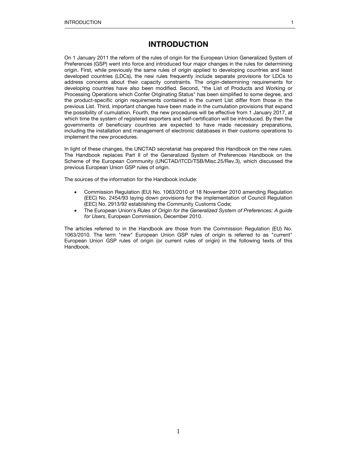# INTRODUCTION

On 1 January 2011 the reform of the rules of origin for the European Union Generalized System of Preferences (GSP) went into force and introduced four major changes in the rules for determining origin. First, while previously the same rules of origin applied to developing countries and least developed countries (LDCs), the new rules frequently include separate provisions for LDCs to address concerns about their capacity constraints. The origin-determining requirements for developing countries have also been modified. Second, "the List of Products and Working or Processing Operations which Confer Originating Status" has been simplified to some degree, and the product-specific origin requirements contained in the current List differ from those in the previous List. Third, important changes have been made in the cumulation provisions that expand the possibility of cumulation. Fourth, the new procedures will be effective from 1 January 2017, at which time the system of registered exporters and self-certification will be introduced. By then the governments of beneficiary countries are expected to have made necessary preparations, including the installation and management of electronic databases in their customs operations to implement the new procedures.

In light of these changes, the UNCTAD secretariat has prepared this Handbook on the new rules. The Handbook replaces Part II of the Generalized System of Preferences Handbook on the Scheme of the European Community (UNCTAD/ITCD/TSB/Misc.25/Rev.3), which discussed the previous European Union GSP rules of origin.

The sources of the information for the Handbook include:

- Commission Regulation (EU) No. 1063/2010 of 18 November 2010 amending Regulation (EEC) No. 2454/93 laying down provisions for the implementation of Council Regulation (EEC) No. 2913/92 establishing the Community Customs Code;
- The European Union's Rules of Origin for the Generalized System of Preferences: A guide for Users, European Commission, December 2010.

The articles referred to in the Handbook are those from the Commission Regulation (EU) No. 1063/2010. The term "new" European Union GSP rules of origin is referred to as "current" European Union GSP rules of origin (or current rules of origin) in the following texts of this Handbook.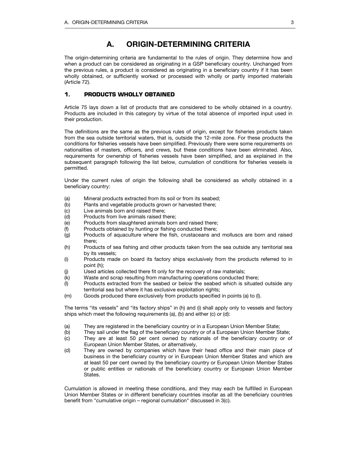# A. ORIGIN-DETERMINING CRITERIA

The origin-determining criteria are fundamental to the rules of origin. They determine how and when a product can be considered as originating in a GSP beneficiary country. Unchanged from the previous rules, a product is considered as originating in a beneficiary country if it has been wholly obtained, or sufficiently worked or processed with wholly or partly imported materials (Article 72).

# **1. PRODUCTS WHOLLY OBTAINED**

Article 75 lays down a list of products that are considered to be wholly obtained in a country. Products are included in this category by virtue of the total absence of imported input used in their production.

The definitions are the same as the previous rules of origin, except for fisheries products taken from the sea outside territorial waters, that is, outside the 12-mile zone. For these products the conditions for fisheries vessels have been simplified. Previously there were some requirements on nationalities of masters, officers, and crews, but these conditions have been eliminated. Also, requirements for ownership of fisheries vessels have been simplified, and as explained in the subsequent paragraph following the list below, cumulation of conditions for fisheries vessels is permitted.

Under the current rules of origin the following shall be considered as wholly obtained in a beneficiary country:

- (a) Mineral products extracted from its soil or from its seabed;
- (b) Plants and vegetable products grown or harvested there;
- (c) Live animals born and raised there;
- (d) Products from live animals raised there;
- (e) Products from slaughtered animals born and raised there;
- (f) Products obtained by hunting or fishing conducted there;
- (g) Products of aquaculture where the fish, crustaceans and molluscs are born and raised there;
- (h) Products of sea fishing and other products taken from the sea outside any territorial sea by its vessels;
- (i) Products made on board its factory ships exclusively from the products referred to in point (h);
- (j) Used articles collected there fit only for the recovery of raw materials;
- (k) Waste and scrap resulting from manufacturing operations conducted there;
- (l) Products extracted from the seabed or below the seabed which is situated outside any territorial sea but where it has exclusive exploitation rights;
- (m) Goods produced there exclusively from products specified in points (a) to (l).

The terms "its vessels" and "its factory ships" in (h) and (i) shall apply only to vessels and factory ships which meet the following requirements (a), (b) and either (c) or (d):

- (a) They are registered in the beneficiary country or in a European Union Member State;
- (b) They sail under the flag of the beneficiary country or of a European Union Member State;
- (c) They are at least 50 per cent owned by nationals of the beneficiary country or of European Union Member States, or alternatively,
- (d) They are owned by companies which have their head office and their main place of business in the beneficiary country or in European Union Member States and which are at least 50 per cent owned by the beneficiary country or European Union Member States or public entities or nationals of the beneficiary country or European Union Member States.

Cumulation is allowed in meeting these conditions, and they may each be fulfilled in European Union Member States or in different beneficiary countries insofar as all the beneficiary countries benefit from "cumulative origin – regional cumulation" discussed in 3(c).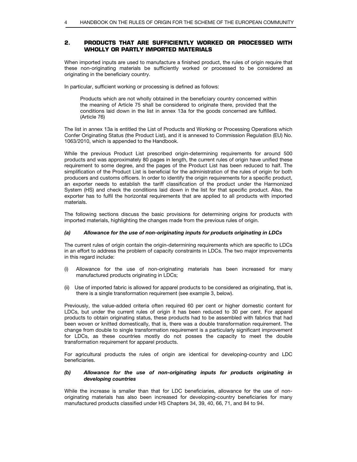# **2. PRODUCTS THAT ARE SUFFICIENTLY WORKED OR PROCESSED WITH WHOLLY OR PARTLY IMPORTED MATERIALS**

When imported inputs are used to manufacture a finished product, the rules of origin require that these non-originating materials be sufficiently worked or processed to be considered as originating in the beneficiary country.

In particular, sufficient working or processing is defined as follows:

Products which are not wholly obtained in the beneficiary country concerned within the meaning of Article 75 shall be considered to originate there, provided that the conditions laid down in the list in annex 13a for the goods concerned are fulfilled. (Article 76)

The list in annex 13a is entitled the List of Products and Working or Processing Operations which Confer Originating Status (the Product List), and it is annexed to Commission Regulation (EU) No. 1063/2010, which is appended to the Handbook.

While the previous Product List prescribed origin-determining requirements for around 500 products and was approximately 80 pages in length, the current rules of origin have unified these requirement to some degree, and the pages of the Product List has been reduced to half. The simplification of the Product List is beneficial for the administration of the rules of origin for both producers and customs officers. In order to identify the origin requirements for a specific product, an exporter needs to establish the tariff classification of the product under the Harmonized System (HS) and check the conditions laid down in the list for that specific product. Also, the exporter has to fulfil the horizontal requirements that are applied to all products with imported materials.

The following sections discuss the basic provisions for determining origins for products with imported materials, highlighting the changes made from the previous rules of origin.

# (a) Allowance for the use of non-originating inputs for products originating in LDCs

The current rules of origin contain the origin-determining requirements which are specific to LDCs in an effort to address the problem of capacity constraints in LDCs. The two major improvements in this regard include:

- (i) Allowance for the use of non-originating materials has been increased for many manufactured products originating in LDCs;
- (ii) Use of imported fabric is allowed for apparel products to be considered as originating, that is, there is a single transformation requirement (see example 3, below).

Previously, the value-added criteria often required 60 per cent or higher domestic content for LDCs, but under the current rules of origin it has been reduced to 30 per cent. For apparel products to obtain originating status, these products had to be assembled with fabrics that had been woven or knitted domestically, that is, there was a double transformation requirement. The change from double to single transformation requirement is a particularly significant improvement for LDCs, as these countries mostly do not posses the capacity to meet the double transformation requirement for apparel products.

For agricultural products the rules of origin are identical for developing-country and LDC beneficiaries.

# (b) Allowance for the use of non-originating inputs for products originating in developing countries

While the increase is smaller than that for LDC beneficiaries, allowance for the use of nonoriginating materials has also been increased for developing-country beneficiaries for many manufactured products classified under HS Chapters 34, 39, 40, 66, 71, and 84 to 94.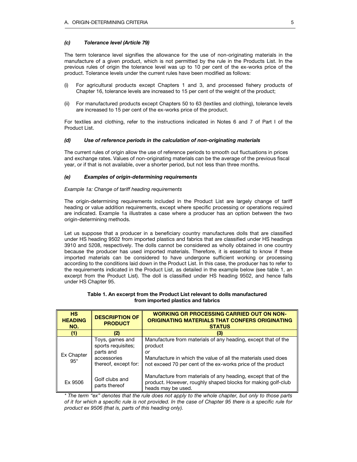# (c) Tolerance level (Article 79)

The term tolerance level signifies the allowance for the use of non-originating materials in the manufacture of a given product, which is not permitted by the rule in the Products List. In the previous rules of origin the tolerance level was up to 10 per cent of the ex-works price of the product. Tolerance levels under the current rules have been modified as follows:

- (i) For agricultural products except Chapters 1 and 3, and processed fishery products of Chapter 16, tolerance levels are increased to 15 per cent of the weight of the product;
- (ii) For manufactured products except Chapters 50 to 63 (textiles and clothing), tolerance levels are increased to 15 per cent of the ex-works price of the product.

For textiles and clothing, refer to the instructions indicated in Notes 6 and 7 of Part I of the Product List.

# (d) Use of reference periods in the calculation of non-originating materials

The current rules of origin allow the use of reference periods to smooth out fluctuations in prices and exchange rates. Values of non-originating materials can be the average of the previous fiscal year, or if that is not available, over a shorter period, but not less than three months.

# (e) Examples of origin-determining requirements

# Example 1a: Change of tariff heading requirements

The origin-determining requirements included in the Product List are largely change of tariff heading or value addition requirements, except where specific processing or operations required are indicated. Example 1a illustrates a case where a producer has an option between the two origin-determining methods.

Let us suppose that a producer in a beneficiary country manufactures dolls that are classified under HS heading 9502 from imported plastics and fabrics that are classified under HS headings 3910 and 5208, respectively. The dolls cannot be considered as wholly obtained in one country because the producer has used imported materials. Therefore, it is essential to know if these imported materials can be considered to have undergone sufficient working or processing according to the conditions laid down in the Product List. In this case, the producer has to refer to the requirements indicated in the Product List, as detailed in the example below (see table 1, an excerpt from the Product List). The doll is classified under HS heading 9502, and hence falls under HS Chapter 95.

| <b>HS</b><br><b>HEADING</b><br>NO. | <b>DESCRIPTION OF</b><br><b>PRODUCT</b>                                                   | <b>WORKING OR PROCESSING CARRIED OUT ON NON-</b><br>ORIGINATING MATERIALS THAT CONFERS ORIGINATING<br><b>STATUS</b>                                                                                            |  |
|------------------------------------|-------------------------------------------------------------------------------------------|----------------------------------------------------------------------------------------------------------------------------------------------------------------------------------------------------------------|--|
| (1)                                | (2)                                                                                       | (3)                                                                                                                                                                                                            |  |
| Ex Chapter<br>$95*$                | Toys, games and<br>sports requisites;<br>parts and<br>accessories<br>thereof, except for: | Manufacture from materials of any heading, except that of the<br>product<br>or<br>Manufacture in which the value of all the materials used does<br>not exceed 70 per cent of the ex-works price of the product |  |
| Ex 9506                            | Golf clubs and<br>parts thereof                                                           | Manufacture from materials of any heading, except that of the<br>product. However, roughly shaped blocks for making golf-club<br>heads may be used.                                                            |  |

#### Table 1. An excerpt from the Product List relevant to dolls manufactured from imported plastics and fabrics

\* The term "ex" denotes that the rule does not apply to the whole chapter, but only to those parts of it for which a specific rule is not provided. In the case of Chapter 95 there is a specific rule for product ex 9506 (that is, parts of this heading only).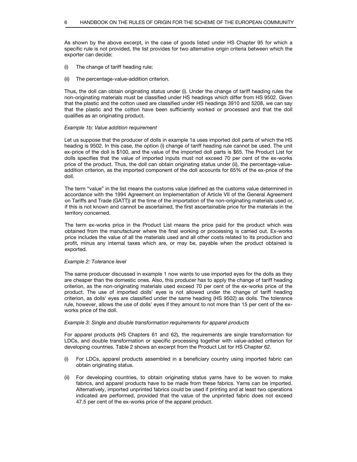As shown by the above excerpt, in the case of goods listed under HS Chapter 95 for which a specific rule is not provided, the list provides for two alternative origin criteria between which the exporter can decide:

- (i) The change of tariff heading rule;
- (ii) The percentage-value-addition criterion.

Thus, the doll can obtain originating status under (i). Under the change of tariff heading rules the non-originating materials must be classified under HS headings which differ from HS 9502. Given that the plastic and the cotton used are classified under HS headings 3910 and 5208, we can say that the plastic and the cotton have been sufficiently worked or processed and that the doll qualifies as an originating product.

#### Example 1b: Value addition requirement

Let us suppose that the producer of dolls in example 1a uses imported doll parts of which the HS heading is 9502. In this case, the option (i) change of tariff heading rule cannot be used. The unit ex-price of the doll is \$100, and the value of the imported doll parts is \$65. The Product List for dolls specifies that the value of imported inputs must not exceed 70 per cent of the ex-works price of the product. Thus, the doll can obtain originating status under (ii), the percentage-valueaddition criterion, as the imported component of the doll accounts for 65% of the ex-price of the doll.

The term "value" in the list means the customs value (defined as the customs value determined in accordance with the 1994 Agreement on Implementation of Article VII of the General Agreement on Tariffs and Trade (GATT)) at the time of the importation of the non-originating materials used or, if this is not known and cannot be ascertained, the first ascertainable price for the materials in the territory concerned.

The term ex-works price in the Product List means the price paid for the product which was obtained from the manufacturer where the final working or processing is carried out. Ex-works price includes the value of all the materials used and all other costs related to its production and profit, minus any internal taxes which are, or may be, payable when the product obtained is exported.

# Example 2: Tolerance level

The same producer discussed in example 1 now wants to use imported eyes for the dolls as they are cheaper than the domestic ones. Also, this producer has to apply the change of tariff heading criterion, as the non-originating materials used exceed 70 per cent of the ex-works price of the product. The use of imported dolls' eyes is not allowed under the change of tariff heading criterion, as dolls' eyes are classified under the same heading (HS 9502) as dolls. The tolerance rule, however, allows the use of dolls' eyes if they amount to not more than 15 per cent of the exworks price of the doll.

#### Example 3: Single and double transformation requirements for apparel products

For apparel products (HS Chapters 61 and 62), the requirements are single transformation for LDCs, and double transformation or specific processing together with value-added criterion for developing countries. Table 2 shows an excerpt from the Product List for HS Chapter 62.

- (i) For LDCs, apparel products assembled in a beneficiary country using imported fabric can obtain originating status.
- (ii) For developing countries, to obtain originating status yarns have to be woven to make fabrics, and apparel products have to be made from these fabrics. Yarns can be imported. Alternatively, imported unprinted fabrics could be used if printing and at least two operations indicated are performed, provided that the value of the unprinted fabric does not exceed 47.5 per cent of the ex-works price of the apparel product.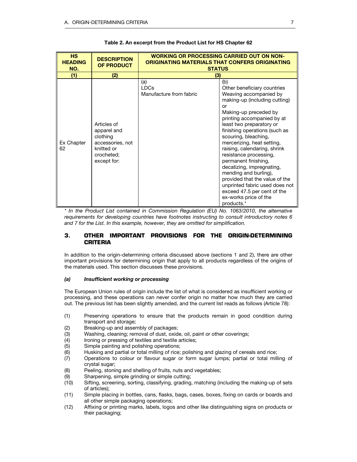| <b>HS</b><br><b>HEADING</b><br>NO. | <b>DESCRIPTION</b><br>OF PRODUCT                                                                      | <b>WORKING OR PROCESSING CARRIED OUT ON NON-</b><br>ORIGINATING MATERIALS THAT CONFERS ORIGINATING<br><b>STATUS</b> |                                                                                                                                                                                                                                                                                                                                                                                                                                                                                                                                                                 |  |
|------------------------------------|-------------------------------------------------------------------------------------------------------|---------------------------------------------------------------------------------------------------------------------|-----------------------------------------------------------------------------------------------------------------------------------------------------------------------------------------------------------------------------------------------------------------------------------------------------------------------------------------------------------------------------------------------------------------------------------------------------------------------------------------------------------------------------------------------------------------|--|
| (1)                                | (2)                                                                                                   | (3)                                                                                                                 |                                                                                                                                                                                                                                                                                                                                                                                                                                                                                                                                                                 |  |
| Ex Chapter<br>62                   | Articles of<br>apparel and<br>clothing<br>accessories, not<br>knitted or<br>crocheted;<br>except for: | (a)<br><b>LDCs</b><br>Manufacture from fabric                                                                       | (b)<br>Other beneficiary countries<br>Weaving accompanied by<br>making-up (including cutting)<br>or<br>Making-up preceded by<br>printing accompanied by at<br>least two preparatory or<br>finishing operations (such as<br>scouring, bleaching,<br>mercerizing, heat setting,<br>raising, calendaring, shrink<br>resistance processing,<br>permanent finishing,<br>decatizing, impregnating,<br>mending and burling),<br>provided that the value of the<br>unprinted fabric used does not<br>exceed 47.5 per cent of the<br>ex-works price of the<br>products.* |  |

# Table 2. An excerpt from the Product List for HS Chapter 62

\* In the Product List contained in Commission Regulation (EU) No. 1063/2010, the alternative requirements for developing countries have footnotes instructing to consult introductory notes 6 and 7 for the List. In this example, however, they are omitted for simplification.

# **3. OTHER IMPORTANT PROVISIONS FOR THE ORIGIN-DETERMINING CRITERIA**

In addition to the origin-determining criteria discussed above (sections 1 and 2), there are other important provisions for determining origin that apply to all products regardless of the origins of the materials used. This section discusses these provisions.

# (a) Insufficient working or processing

The European Union rules of origin include the list of what is considered as insufficient working or processing, and these operations can never confer origin no matter how much they are carried out. The previous list has been slightly amended, and the current list reads as follows (Article 78):

- (1) Preserving operations to ensure that the products remain in good condition during transport and storage;
- (2) Breaking-up and assembly of packages;
- (3) Washing, cleaning; removal of dust, oxide, oil, paint or other coverings;<br>(4) Ironing or pressing of textiles and textile articles;
- (4) Ironing or pressing of textiles and textile articles;<br>(5) Simple painting and polishing operations;
- (5) Simple painting and polishing operations;<br>(6) Husking and partial or total milling of rice;
- Husking and partial or total milling of rice; polishing and glazing of cereals and rice;
- (7) Operations to colour or flavour sugar or form sugar lumps; partial or total milling of crystal sugar;
- (8) Peeling, stoning and shelling of fruits, nuts and vegetables;
- (9) Sharpening, simple grinding or simple cutting;
- (10) Sifting, screening, sorting, classifying, grading, matching (including the making-up of sets of articles);
- (11) Simple placing in bottles, cans, flasks, bags, cases, boxes, fixing on cards or boards and all other simple packaging operations;
- (12) Affixing or printing marks, labels, logos and other like distinguishing signs on products or their packaging;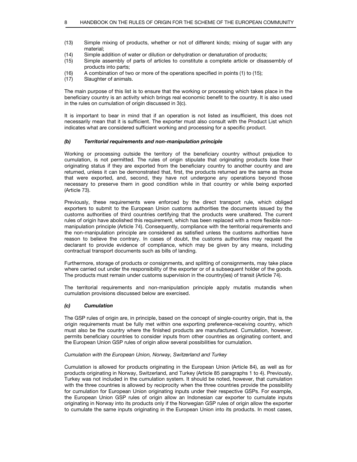- (13) Simple mixing of products, whether or not of different kinds; mixing of sugar with any material;<br>14) Simple a
- 
- (14) Simple addition of water or dilution or dehydration or denaturation of products; Simple assembly of parts of articles to constitute a complete article or disassembly of products into parts;
- (16) A combination of two or more of the operations specified in points (1) to (15);
- (17) Slaughter of animals.

The main purpose of this list is to ensure that the working or processing which takes place in the beneficiary country is an activity which brings real economic benefit to the country. It is also used in the rules on cumulation of origin discussed in 3(c).

It is important to bear in mind that if an operation is not listed as insufficient, this does not necessarily mean that it is sufficient. The exporter must also consult with the Product List which indicates what are considered sufficient working and processing for a specific product.

#### (b) Territorial requirements and non-manipulation principle

Working or processing outside the territory of the beneficiary country without prejudice to cumulation, is not permitted. The rules of origin stipulate that originating products lose their originating status if they are exported from the beneficiary country to another country and are returned, unless it can be demonstrated that, first, the products returned are the same as those that were exported, and, second, they have not undergone any operations beyond those necessary to preserve them in good condition while in that country or while being exported (Article 73).

Previously, these requirements were enforced by the direct transport rule, which obliged exporters to submit to the European Union customs authorities the documents issued by the customs authorities of third countries certifying that the products were unaltered. The current rules of origin have abolished this requirement, which has been replaced with a more flexible nonmanipulation principle (Article 74). Consequently, compliance with the territorial requirements and the non-manipulation principle are considered as satisfied unless the customs authorities have reason to believe the contrary. In cases of doubt, the customs authorities may request the declarant to provide evidence of compliance, which may be given by any means, including contractual transport documents such as bills of landing.

Furthermore, storage of products or consignments, and splitting of consignments, may take place where carried out under the responsibility of the exporter or of a subsequent holder of the goods. The products must remain under customs supervision in the country(ies) of transit (Article 74).

The territorial requirements and non-manipulation principle apply mutatis mutandis when cumulation provisions discussed below are exercised.

# (c) Cumulation

The GSP rules of origin are, in principle, based on the concept of single-country origin, that is, the origin requirements must be fully met within one exporting preference-receiving country, which must also be the country where the finished products are manufactured. Cumulation, however, permits beneficiary countries to consider inputs from other countries as originating content, and the European Union GSP rules of origin allow several possibilities for cumulation.

#### Cumulation with the European Union, Norway, Switzerland and Turkey

Cumulation is allowed for products originating in the European Union (Article 84), as well as for products originating in Norway, Switzerland, and Turkey (Article 85 paragraphs 1 to 4). Previously, Turkey was not included in the cumulation system. It should be noted, however, that cumulation with the three countries is allowed by reciprocity when the three countries provide the possibility for cumulation for European Union originating inputs under their respective GSPs. For example, the European Union GSP rules of origin allow an Indonesian car exporter to cumulate inputs originating in Norway into its products only if the Norwegian GSP rules of origin allow the exporter to cumulate the same inputs originating in the European Union into its products. In most cases,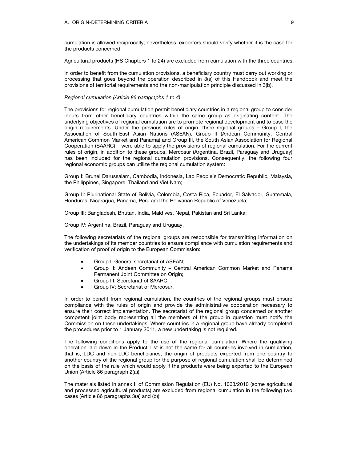cumulation is allowed reciprocally; nevertheless, exporters should verify whether it is the case for the products concerned.

Agricultural products (HS Chapters 1 to 24) are excluded from cumulation with the three countries.

In order to benefit from the cumulation provisions, a beneficiary country must carry out working or processing that goes beyond the operation described in 3(a) of this Handbook and meet the provisions of territorial requirements and the non-manipulation principle discussed in 3(b).

#### Regional cumulation (Article 86 paragraphs 1 to 4)

The provisions for regional cumulation permit beneficiary countries in a regional group to consider inputs from other beneficiary countries within the same group as originating content. The underlying objectives of regional cumulation are to promote regional development and to ease the origin requirements. Under the previous rules of origin, three regional groups – Group I, the Association of South-East Asian Nations (ASEAN), Group II (Andean Community, Central American Common Market and Panama) and Group III, the South Asian Association for Regional Cooperation (SAARC) – were able to apply the provisions of regional cumulation. For the current rules of origin, in addition to these groups, Mercosur (Argentina, Brazil, Paraguay and Uruguay) has been included for the regional cumulation provisions. Consequently, the following four regional economic groups can utilize the regional cumulation system:

Group I: Brunei Darussalam, Cambodia, Indonesia, Lao People's Democratic Republic, Malaysia, the Philippines, Singapore, Thailand and Viet Nam;

Group II: Plurinational State of Bolivia, Colombia, Costa Rica, Ecuador, El Salvador, Guatemala, Honduras, Nicaragua, Panama, Peru and the Bolivarian Republic of Venezuela;

Group III: Bangladesh, Bhutan, India, Maldives, Nepal, Pakistan and Sri Lanka;

Group IV: Argentina, Brazil, Paraguay and Uruguay.

The following secretariats of the regional groups are responsible for transmitting information on the undertakings of its member countries to ensure compliance with cumulation requirements and verification of proof of origin to the European Commission:

- Group I: General secretariat of ASEAN;
- Group II: Andean Community Central American Common Market and Panama Permanent Joint Committee on Origin;
- Group III: Secretariat of SAARC;
- **•** Group IV: Secretariat of Mercosur.

In order to benefit from regional cumulation, the countries of the regional groups must ensure compliance with the rules of origin and provide the administrative cooperation necessary to ensure their correct implementation. The secretariat of the regional group concerned or another competent joint body representing all the members of the group in question must notify the Commission on these undertakings. Where countries in a regional group have already completed the procedures prior to 1 January 2011, a new undertaking is not required.

The following conditions apply to the use of the regional cumulation. Where the qualifying operation laid down in the Product List is not the same for all countries involved in cumulation, that is, LDC and non-LDC beneficiaries, the origin of products exported from one country to another country of the regional group for the purpose of regional cumulation shall be determined on the basis of the rule which would apply if the products were being exported to the European Union (Article 86 paragraph 2(a)).

The materials listed in annex II of Commission Regulation (EU) No. 1063/2010 (some agricultural and processed agricultural products) are excluded from regional cumulation in the following two cases (Article 86 paragraphs 3(a) and (b)):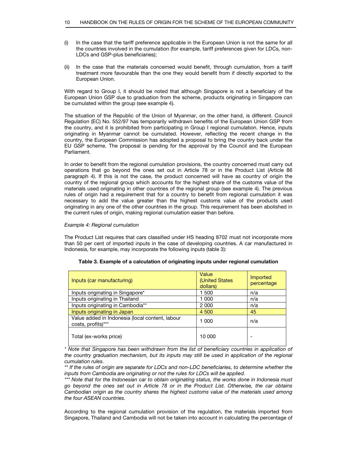- (i) In the case that the tariff preference applicable in the European Union is not the same for all the countries involved in the cumulation (for example, tariff preferences given for LDCs, non-LDCs and GSP-plus beneficiaries);
- (ii) In the case that the materials concerned would benefit, through cumulation, from a tariff treatment more favourable than the one they would benefit from if directly exported to the European Union.

With regard to Group I, it should be noted that although Singapore is not a beneficiary of the European Union GSP due to graduation from the scheme, products originating in Singapore can be cumulated within the group (see example 4).

The situation of the Republic of the Union of Myanmar, on the other hand, is different. Council Regulation (EC) No. 552/97 has temporarily withdrawn benefits of the European Union GSP from the country, and it is prohibited from participating in Group I regional cumulation. Hence, inputs originating in Myanmar cannot be cumulated. However, reflecting the recent change in the country, the European Commission has adopted a proposal to bring the country back under the EU GSP scheme. The proposal is pending for the approval by the Council and the European Parliament.

In order to benefit from the regional cumulation provisions, the country concerned must carry out operations that go beyond the ones set out in Article 78 or in the Product List (Article 86 paragraph 4). If this is not the case, the product concerned will have as country of origin the country of the regional group which accounts for the highest share of the customs value of the materials used originating in other countries of the regional group (see example 4). The previous rules of origin had a requirement that for a country to benefit from regional cumulation it was necessary to add the value greater than the highest customs value of the products used originating in any one of the other countries in the group. This requirement has been abolished in the current rules of origin, making regional cumulation easier than before.

# Example 4: Regional cumulation

The Product List requires that cars classified under HS heading 8702 must not incorporate more than 50 per cent of imported inputs in the case of developing countries. A car manufactured in Indonesia, for example, may incorporate the following inputs (table 3):

| Inputs (car manufacturing)                                            | Value<br>(United States<br>dollars) | Imported<br>percentage |
|-----------------------------------------------------------------------|-------------------------------------|------------------------|
| Inputs originating in Singapore*                                      | -500                                | n/a                    |
| Inputs originating in Thailand                                        | 1 000                               | n/a                    |
| Inputs originating in Cambodia**                                      | 2 0 0 0                             | n/a                    |
| Inputs originating in Japan                                           | 4 500                               | 45                     |
| Value added in Indonesia (local content, labour<br>costs, profits)*** | 1 000                               | n/a                    |
| Total (ex-works price)                                                | 10 000                              |                        |

# Table 3. Example of a calculation of originating inputs under regional cumulation

\* Note that Singapore has been withdrawn from the list of beneficiary countries in application of the country graduation mechanism, but its inputs may still be used in application of the regional cumulation rules.

\*\*\* Note that for the Indonesian car to obtain originating status, the works done in Indonesia must go beyond the ones set out in Article 78 or in the Product List. Otherwise, the car obtains Cambodian origin as the country shares the highest customs value of the materials used among the four ASEAN countries.

According to the regional cumulation provision of the regulation, the materials imported from Singapore, Thailand and Cambodia will not be taken into account in calculating the percentage of

<sup>\*\*</sup> If the rules of origin are separate for LDCs and non-LDC beneficiaries, to determine whether the inputs from Cambodia are originating or not the rules for LDCs will be applied.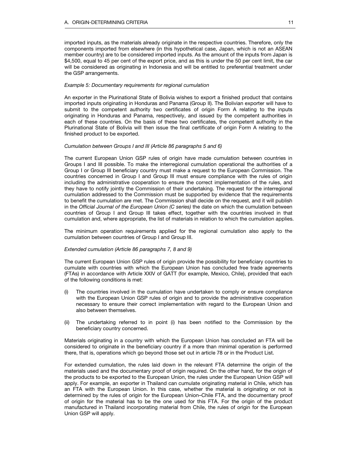imported inputs, as the materials already originate in the respective countries. Therefore, only the components imported from elsewhere (in this hypothetical case, Japan, which is not an ASEAN member country) are to be considered imported inputs. As the amount of the inputs from Japan is \$4,500, equal to 45 per cent of the export price, and as this is under the 50 per cent limit, the car will be considered as originating in Indonesia and will be entitled to preferential treatment under the GSP arrangements.

#### Example 5: Documentary requirements for regional cumulation

An exporter in the Plurinational State of Bolivia wishes to export a finished product that contains imported inputs originating in Honduras and Panama (Group II). The Bolivian exporter will have to submit to the competent authority two certificates of origin Form A relating to the inputs originating in Honduras and Panama, respectively, and issued by the competent authorities in each of these countries. On the basis of these two certificates, the competent authority in the Plurinational State of Bolivia will then issue the final certificate of origin Form A relating to the finished product to be exported.

# Cumulation between Groups I and III (Article 86 paragraphs 5 and 6)

The current European Union GSP rules of origin have made cumulation between countries in Groups I and III possible. To make the interregional cumulation operational the authorities of a Group I or Group III beneficiary country must make a request to the European Commission. The countries concerned in Group I and Group III must ensure compliance with the rules of origin including the administrative cooperation to ensure the correct implementation of the rules, and they have to notify jointly the Commission of their undertaking. The request for the interregional cumulation addressed to the Commission must be supported by evidence that the requirements to benefit the cumulation are met. The Commission shall decide on the request, and it will publish in the Official Journal of the European Union (C series) the date on which the cumulation between countries of Group I and Group III takes effect, together with the countries involved in that cumulation and, where appropriate, the list of materials in relation to which the cumulation applies.

The minimum operation requirements applied for the regional cumulation also apply to the cumulation between countries of Group I and Group III.

#### Extended cumulation (Article 86 paragraphs 7, 8 and 9)

The current European Union GSP rules of origin provide the possibility for beneficiary countries to cumulate with countries with which the European Union has concluded free trade agreements (FTAs) in accordance with Article XXIV of GATT (for example, Mexico, Chile), provided that each of the following conditions is met:

- (i) The countries involved in the cumulation have undertaken to comply or ensure compliance with the European Union GSP rules of origin and to provide the administrative cooperation necessary to ensure their correct implementation with regard to the European Union and also between themselves.
- (ii) The undertaking referred to in point (i) has been notified to the Commission by the beneficiary country concerned.

Materials originating in a country with which the European Union has concluded an FTA will be considered to originate in the beneficiary country if a more than minimal operation is performed there, that is, operations which go beyond those set out in article 78 or in the Product List.

For extended cumulation, the rules laid down in the relevant FTA determine the origin of the materials used and the documentary proof of origin required. On the other hand, for the origin of the products to be exported to the European Union, the rules under the European Union GSP will apply. For example, an exporter in Thailand can cumulate originating material in Chile, which has an FTA with the European Union. In this case, whether the material is originating or not is determined by the rules of origin for the European Union–Chile FTA, and the documentary proof of origin for the material has to be the one used for this FTA. For the origin of the product manufactured in Thailand incorporating material from Chile, the rules of origin for the European Union GSP will apply.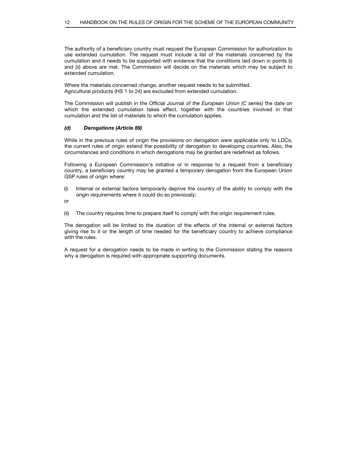The authority of a beneficiary country must request the European Commission for authorization to use extended cumulation. The request must include a list of the materials concerned by the cumulation and it needs to be supported with evidence that the conditions laid down in points (i) and (ii) above are met. The Commission will decide on the materials which may be subject to extended cumulation.

Where the materials concerned change, another request needs to be submitted. Agricultural products (HS 1 to 24) are excluded from extended cumulation.

The Commission will publish in the Official Journal of the European Union (C series) the date on which the extended cumulation takes effect, together with the countries involved in that cumulation and the list of materials to which the cumulation applies.

# (d) Derogations (Article 89)

While in the previous rules of origin the provisions on derogation were applicable only to LDCs, the current rules of origin extend the possibility of derogation to developing countries. Also, the circumstances and conditions in which derogations may be granted are redefined as follows.

Following a European Commission's initiative or in response to a request from a beneficiary country, a beneficiary country may be granted a temporary derogation from the European Union GSP rules of origin where:

- (i) Internal or external factors temporarily deprive the country of the ability to comply with the origin requirements where it could do so previously;
- or
- (ii) The country requires time to prepare itself to comply with the origin requirement rules.

The derogation will be limited to the duration of the effects of the internal or external factors giving rise to it or the length of time needed for the beneficiary country to achieve compliance with the rules.

A request for a derogation needs to be made in writing to the Commission stating the reasons why a derogation is required with appropriate supporting documents.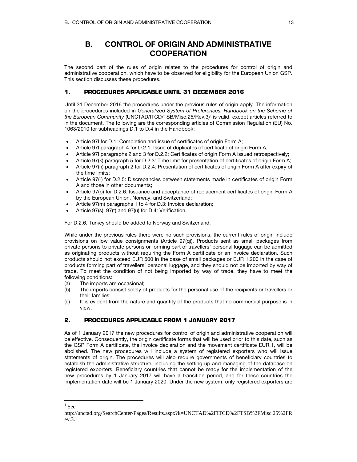# B. CONTROL OF ORIGIN AND ADMINISTRATIVE **COOPERATION**

The second part of the rules of origin relates to the procedures for control of origin and administrative cooperation, which have to be observed for eligibility for the European Union GSP. This section discusses these procedures.

# **1. PROCEDURES APPLICABLE UNTIL 31 DECEMBER 2016**

Until 31 December 2016 the procedures under the previous rules of origin apply. The information on the procedures included in Generalized System of Preferences: Handbook on the Scheme of the European Community (UNCTAD/ITCD/TSB/Misc.25/Rev.3)<sup>1</sup> is valid, except articles referred to in the document. The following are the corresponding articles of Commission Regulation (EU) No. 1063/2010 for subheadings D.1 to D.4 in the Handbook:

- Article 97l for D.1: Completion and issue of certificates of origin Form A;
- Article 97l paragraph 4 for D.2.1: Issue of duplicates of certificate of origin Form A;
- Article 97l paragraphs 2 and 3 for D.2.2: Certificates of origin Form A issued retrospectively;
- Article 97(k) paragraph 5 for D.2.3: Time limit for presentation of certificates of origin Form A;
- Article 97(n) paragraph 2 for D.2.4: Presentation of certificates of origin Form A after expiry of the time limits;
- Article 97(r) for D.2.5: Discrepancies between statements made in certificates of origin Form A and those in other documents;
- Article 97(p) for D.2.6: Issuance and acceptance of replacement certificates of origin Form A by the European Union, Norway, and Switzerland;
- Article 97(m) paragraphs 1 to 4 for D.3: Invoice declaration;
- Article 97(s), 97(t) and 97(u) for D.4: Verification.

For D.2.6, Turkey should be added to Norway and Switzerland.

While under the previous rules there were no such provisions, the current rules of origin include provisions on low value consignments (Article 97(q)). Products sent as small packages from private persons to private persons or forming part of travellers' personal luggage can be admitted as originating products without requiring the Form A certificate or an invoice declaration. Such products should not exceed EUR 500 in the case of small packages or EUR 1,200 in the case of products forming part of travellers' personal luggage, and they should not be imported by way of trade. To meet the condition of not being imported by way of trade, they have to meet the following conditions:

- (a) The imports are occasional;
- (b) The imports consist solely of products for the personal use of the recipients or travellers or their families;
- (c) It is evident from the nature and quantity of the products that no commercial purpose is in view.

# **2. PROCEDURES APPLICABLE FROM 1 JANUARY 2017**

As of 1 January 2017 the new procedures for control of origin and administrative cooperation will be effective. Consequently, the origin certificate forms that will be used prior to this date, such as the GSP Form A certificate, the invoice declaration and the movement certificate EUR.1, will be abolished. The new procedures will include a system of registered exporters who will issue statements of origin. The procedures will also require governments of beneficiary countries to establish the administrative structure, including the setting up and managing of the database on registered exporters. Beneficiary countries that cannot be ready for the implementation of the new procedures by 1 January 2017 will have a transition period, and for these countries the implementation date will be 1 January 2020. Under the new system, only registered exporters are

 $\overline{a}$ 

 $<sup>1</sup>$  See</sup>

http://unctad.org/SearchCenter/Pages/Results.aspx?k=UNCTAD%2FITCD%2FTSB%2FMisc.25%2FR ev.3.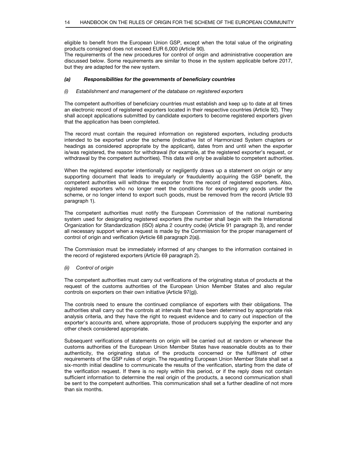eligible to benefit from the European Union GSP, except when the total value of the originating products consigned does not exceed EUR 6,000 (Article 90).

The requirements of the new procedures for control of origin and administrative cooperation are discussed below. Some requirements are similar to those in the system applicable before 2017, but they are adapted for the new system.

# (a) Responsibilities for the governments of beneficiary countries

# (i) Establishment and management of the database on registered exporters

The competent authorities of beneficiary countries must establish and keep up to date at all times an electronic record of registered exporters located in their respective countries (Article 92). They shall accept applications submitted by candidate exporters to become registered exporters given that the application has been completed.

The record must contain the required information on registered exporters, including products intended to be exported under the scheme (indicative list of Harmonized System chapters or headings as considered appropriate by the applicant), dates from and until when the exporter is/was registered, the reason for withdrawal (for example, at the registered exporter's request, or withdrawal by the competent authorities). This data will only be available to competent authorities.

When the registered exporter intentionally or negligently draws up a statement on origin or any supporting document that leads to irregularly or fraudulently acquiring the GSP benefit, the competent authorities will withdraw the exporter from the record of registered exporters. Also, registered exporters who no longer meet the conditions for exporting any goods under the scheme, or no longer intend to export such goods, must be removed from the record (Article 93 paragraph 1).

The competent authorities must notify the European Commission of the national numbering system used for designating registered exporters (the number shall begin with the International Organization for Standardization (ISO) alpha 2 country code) (Article 91 paragraph 3), and render all necessary support when a request is made by the Commission for the proper management of control of origin and verification (Article 68 paragraph 2(a)).

The Commission must be immediately informed of any changes to the information contained in the record of registered exporters (Article 69 paragraph 2).

# (ii) Control of origin

The competent authorities must carry out verifications of the originating status of products at the request of the customs authorities of the European Union Member States and also regular controls on exporters on their own initiative (Article 97(g)).

The controls need to ensure the continued compliance of exporters with their obligations. The authorities shall carry out the controls at intervals that have been determined by appropriate risk analysis criteria, and they have the right to request evidence and to carry out inspection of the exporter's accounts and, where appropriate, those of producers supplying the exporter and any other check considered appropriate.

Subsequent verifications of statements on origin will be carried out at random or whenever the customs authorities of the European Union Member States have reasonable doubts as to their authenticity, the originating status of the products concerned or the fulfilment of other requirements of the GSP rules of origin. The requesting European Union Member State shall set a six-month initial deadline to communicate the results of the verification, starting from the date of the verification request. If there is no reply within this period, or if the reply does not contain sufficient information to determine the real origin of the products, a second communication shall be sent to the competent authorities. This communication shall set a further deadline of not more than six months.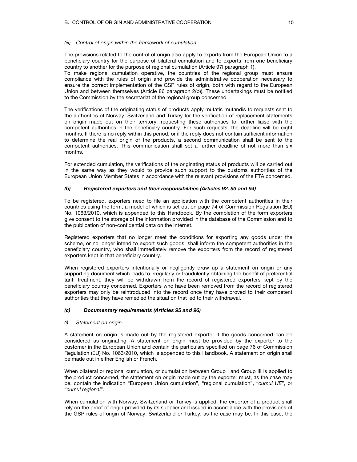#### (iii) Control of origin within the framework of cumulation

The provisions related to the control of origin also apply to exports from the European Union to a beneficiary country for the purpose of bilateral cumulation and to exports from one beneficiary country to another for the purpose of regional cumulation (Article 97l paragraph 1).

To make regional cumulation operative, the countries of the regional group must ensure compliance with the rules of origin and provide the administrative cooperation necessary to ensure the correct implementation of the GSP rules of origin, both with regard to the European Union and between themselves (Article 86 paragraph 2(b)). These undertakings must be notified to the Commission by the secretariat of the regional group concerned.

The verifications of the originating status of products apply mutatis mutandis to requests sent to the authorities of Norway, Switzerland and Turkey for the verification of replacement statements on origin made out on their territory, requesting these authorities to further liaise with the competent authorities in the beneficiary country. For such requests, the deadline will be eight months. If there is no reply within this period, or if the reply does not contain sufficient information to determine the real origin of the products, a second communication shall be sent to the competent authorities. This communication shall set a further deadline of not more than six months.

For extended cumulation, the verifications of the originating status of products will be carried out in the same way as they would to provide such support to the customs authorities of the European Union Member States in accordance with the relevant provisions of the FTA concerned.

# (b) Registered exporters and their responsibilities (Articles 92, 93 and 94)

To be registered, exporters need to file an application with the competent authorities in their countries using the form, a model of which is set out on page 74 of Commission Regulation (EU) No. 1063/2010, which is appended to this Handbook. By the completion of the form exporters give consent to the storage of the information provided in the database of the Commission and to the publication of non-confidential data on the Internet.

Registered exporters that no longer meet the conditions for exporting any goods under the scheme, or no longer intend to export such goods, shall inform the competent authorities in the beneficiary country, who shall immediately remove the exporters from the record of registered exporters kept in that beneficiary country.

When registered exporters intentionally or negligently draw up a statement on origin or any supporting document which leads to irregularly or fraudulently obtaining the benefit of preferential tariff treatment, they will be withdrawn from the record of registered exporters kept by the beneficiary country concerned. Exporters who have been removed from the record of registered exporters may only be reintroduced into the record once they have proved to their competent authorities that they have remedied the situation that led to their withdrawal.

#### (c) Documentary requirements (Articles 95 and 96)

#### (i) Statement on origin

A statement on origin is made out by the registered exporter if the goods concerned can be considered as originating. A statement on origin must be provided by the exporter to the customer in the European Union and contain the particulars specified on page 76 of Commission Regulation (EU) No. 1063/2010, which is appended to this Handbook. A statement on origin shall be made out in either English or French.

When bilateral or regional cumulation, or cumulation between Group I and Group III is applied to the product concerned, the statement on origin made out by the exporter must, as the case may be, contain the indication "European Union cumulation", "regional cumulation", "cumul UE", or "cumul regional".

When cumulation with Norway, Switzerland or Turkey is applied, the exporter of a product shall rely on the proof of origin provided by its supplier and issued in accordance with the provisions of the GSP rules of origin of Norway, Switzerland or Turkey, as the case may be. In this case, the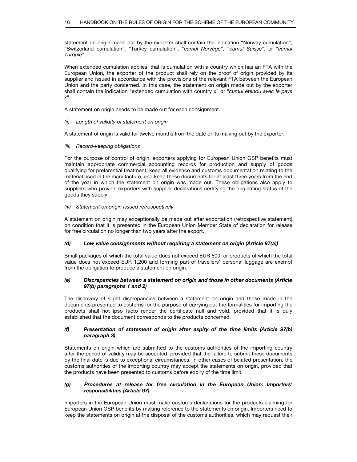statement on origin made out by the exporter shall contain the indication "Norway cumulation", "Switzerland cumulation", "Turkey cumulation", "cumul Norvège", "cumul Suisse", or "cumul Turquie".

When extended cumulation applies, that is cumulation with a country which has an FTA with the European Union, the exporter of the product shall rely on the proof of origin provided by its supplier and issued in accordance with the provisions of the relevant FTA between the European Union and the party concerned. In this case, the statement on origin made out by the exporter shall contain the indication "extended cumulation with country x" or "cumul étendu avec le pays  $x"$ .

A statement on origin needs to be made out for each consignment.

(ii) Length of validity of statement on origin

A statement of origin is valid for twelve months from the date of its making out by the exporter.

(iii) Record-keeping obligations

For the purpose of control of origin, exporters applying for European Union GSP benefits must maintain appropriate commercial accounting records for production and supply of goods qualifying for preferential treatment, keep all evidence and customs documentation relating to the material used in the manufacture, and keep these documents for at least three years from the end of the year in which the statement on origin was made out. These obligations also apply to suppliers who provide exporters with supplier declarations certifying the originating status of the goods they supply.

#### (iv) Statement on origin issued retrospectively

A statement on origin may exceptionally be made out after exportation (retrospective statement) on condition that it is presented in the European Union Member State of declaration for release for free circulation no longer than two years after the export.

# (d) Low value consignments without requiring a statement on origin (Article 97(a))

Small packages of which the total value does not exceed EUR 500, or products of which the total value does not exceed EUR 1,200 and forming part of travellers' personal luggage are exempt from the obligation to produce a statement on origin.

# (e) Discrepancies between a statement on origin and those in other documents (Article 97(b) paragraphs 1 and 2)

The discovery of slight discrepancies between a statement on origin and those made in the documents presented to customs for the purpose of carrying out the formalities for importing the products shall not ipso facto render the certificate null and void, provided that it is duly established that the document corresponds to the products concerned.

# (f) Presentation of statement of origin after expiry of the time limits (Article 97(b) paragraph 3)

Statements on origin which are submitted to the customs authorities of the importing country after the period of validity may be accepted, provided that the failure to submit these documents by the final date is due to exceptional circumstances. In other cases of belated presentation, the customs authorities of the importing country may accept the statements on origin, provided that the products have been presented to customs before expiry of the time limit.

# (g) Procedures at release for free circulation in the European Union: Importers' responsibilities (Article 97)

Importers in the European Union must make customs declarations for the products claiming for European Union GSP benefits by making reference to the statements on origin. Importers need to keep the statements on origin at the disposal of the customs authorities, which may request their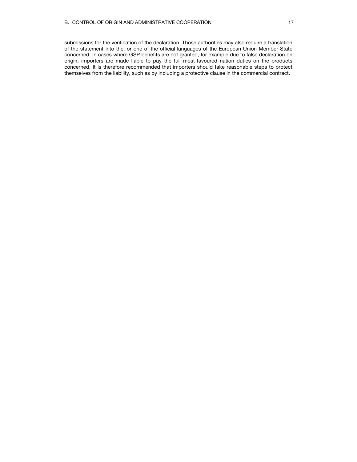submissions for the verification of the declaration. Those authorities may also require a translation of the statement into the, or one of the official languages of the European Union Member State concerned. In cases where GSP benefits are not granted, for example due to false declaration on origin, importers are made liable to pay the full most-favoured nation duties on the products concerned. It is therefore recommended that importers should take reasonable steps to protect themselves from the liability, such as by including a protective clause in the commercial contract.